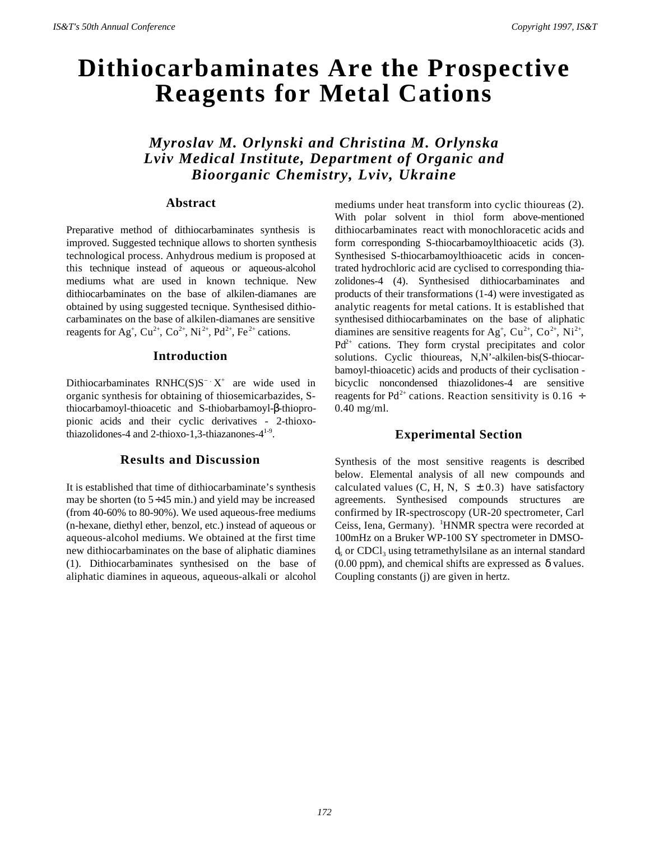# **Dithiocarbaminates Are the Prospective Reagents for Metal Cations**

## *Myroslav M. Orlynski and Christina M. Orlynska Lviv Medical Institute, Department of Organic and Bioorganic Chemistry, Lviv, Ukraine*

## **Abstract**

Preparative method of dithiocarbaminates synthesis is improved. Suggested technique allows to shorten synthesis technological process. Anhydrous medium is proposed at this technique instead of aqueous or aqueous-alcohol mediums what are used in known technique. New dithiocarbaminates on the base of alkilen-diamanes are obtained by using suggested tecnique. Synthesised dithiocarbaminates on the base of alkilen-diamanes are sensitive reagents for Ag<sup>+</sup>, Cu<sup>2+</sup>, Co<sup>2+</sup>, Ni<sup>2+</sup>, Pd<sup>2+</sup>, Fe<sup>2+</sup> cations.

## **Introduction**

Dithiocarbaminates RNHC(S)S<sup>-</sup>  $X^+$  are wide used in organic synthesis for obtaining of thiosemicarbazides, Sthiocarbamoyl-thioacetic and S-thiobarbamoyl-β-thiopropionic acids and their cyclic derivatives - 2-thioxothiazolidones-4 and 2-thioxo-1,3-thiazanones- $4^{1-9}$ .

## **Results and Discussion**

It is established that time of dithiocarbaminate's synthesis may be shorten (to  $5 \div 45$  min.) and yield may be increased (from 40-60% to 80-90%). We used aqueous-free mediums (n-hexane, diethyl ether, benzol, etc.) instead of aqueous or aqueous-alcohol mediums. We obtained at the first time new dithiocarbaminates on the base of aliphatic diamines (1). Dithiocarbaminates synthesised on the base of aliphatic diamines in aqueous, aqueous-alkali or alcohol

mediums under heat transform into cyclic thioureas (2). With polar solvent in thiol form above-mentioned dithiocarbaminates react with monochloracetic acids and form corresponding S-thiocarbamoylthioacetic acids (3). Synthesised S-thiocarbamoylthioacetic acids in concentrated hydrochloric acid are cyclised to corresponding thiazolidones-4 (4). Synthesised dithiocarbaminates and products of their transformations (1-4) were investigated as analytic reagents for metal cations. It is established that synthesised dithiocarbaminates on the base of aliphatic diamines are sensitive reagents for Ag<sup>+</sup>, Cu<sup>2+</sup>, Co<sup>2+</sup>, Ni<sup>2+</sup>,  $Pd^{2+}$  cations. They form crystal precipitates and color solutions. Cyclic thioureas, N,N'-alkilen-bis(S-thiocarbamoyl-thioacetic) acids and products of their cyclisation bicyclic noncondensed thiazolidones-4 are sensitive reagents for Pd<sup>2+</sup> cations. Reaction sensitivity is 0.16  $\div$ 0.40 mg/ml.

## **Experimental Section**

Synthesis of the most sensitive reagents is described below. Elemental analysis of all new compounds and calculated values (C, H, N, S  $\pm$  0.3) have satisfactory agreements. Synthesised compounds structures are confirmed by IR-spectroscopy (UR-20 spectrometer, Carl Ceiss, Iena, Germany). <sup>1</sup>HNMR spectra were recorded at 100mHz on a Bruker WP-100 SY spectrometer in DMSO $d_6$  or CDCl<sub>3</sub> using tetramethylsilane as an internal standard  $(0.00 \text{ ppm})$ , and chemical shifts are expressed as  $\delta$  values. Coupling constants (j) are given in hertz.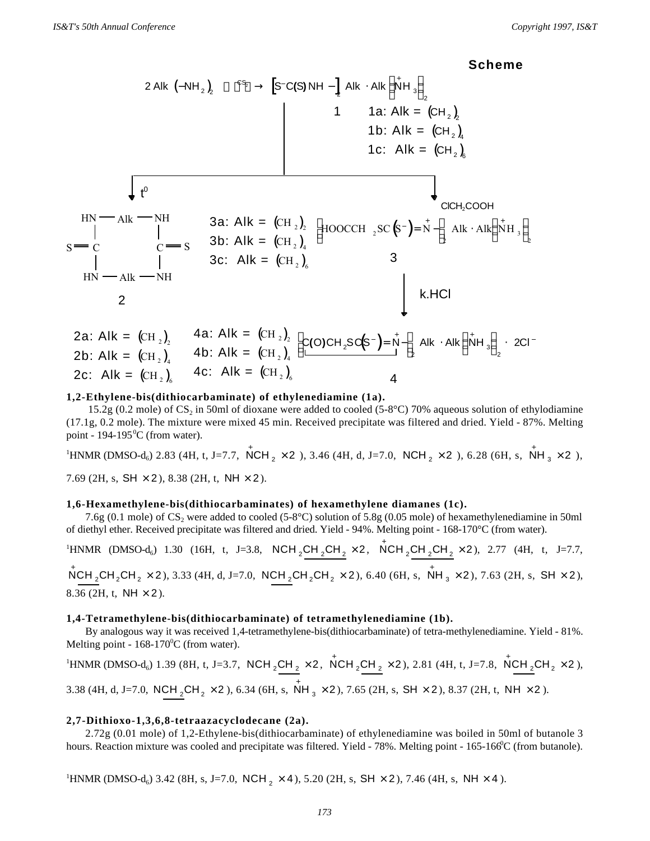**Scheme**



#### **1,2-Ethylene-bis(dithiocarbaminate) of ethylenediamine (1a).**

15.2g (0.2 mole) of  $CS_2$  in 50ml of dioxane were added to cooled (5-8°C) 70% aqueous solution of ethylodiamine (17.1g, 0.2 mole). The mixture were mixed 45 min. Received precipitate was filtered and dried. Yield - 87%. Melting point -  $194-195\text{°C}$  (from water).

 ${}^{1}$ HNMR (DMSO-d<sub>6</sub>) 2.83 (4H, t, J=7.7,  $\stackrel{\ast}{N}$ CH<sub>2</sub> × 2 ), 3.46 (4H, d, J=7.0, NCH<sub>2</sub> × 2 ), 6.28 (6H, s,  $\stackrel{\ast}{N}$ H<sub>3</sub> × 2 ), 7.69 (2H, s, SH  $\times$  2), 8.38 (2H, t, NH  $\times$  2).

### **1,6-Hexamethylene-bis(dithiocarbaminates) of hexamethylene diamanes (1c).**

7.6g (0.1 mole) of  $CS_2$  were added to cooled (5-8°C) solution of 5.8g (0.05 mole) of hexamethylenediamine in 50ml of diethyl ether. Received precipitate was filtered and dried. Yield - 94%. Melting point - 168-170°C (from water).

 $1+\text{NMR}$  (DMSO-d<sub>6</sub>) 1.30 (16H, t, J=3.8, NCH<sub>2</sub>CH<sub>2</sub>CH<sub>2</sub>×2, NCH<sub>2</sub>CH<sub>2</sub>CH<sub>2</sub>×2), 2.77 (4H, t, J=7.7,

 $\rm \stackrel{+}{N}CH_2CH_2\times 2$ ), 3.33 (4H, d, J=7.0,  $\rm \stackrel{+}{N}CH_2CH_2\times 2$ ), 6.40 (6H, s,  $\stackrel{+}{N}H_3\times 2$ ), 7.63 (2H, s,  $\rm \stackrel{+}{SH}\times 2$ ), 8.36 (2H, t, NH  $\times$  2).

#### **1,4-Tetramethylene-bis(dithiocarbaminate) of tetramethylenediamine (1b).**

By analogous way it was received 1,4-tetramethylene-bis(dithiocarbaminate) of tetra-methylenediamine. Yield - 81%. Melting point -  $168-170^{\circ}$ C (from water).

 ${}^{1}$ HNMR (DMSO-d<sub>6</sub>) 1.39 (8H, t, J=3.7, NCH <sub>2</sub>CH <sub>2</sub> × 2, NCH <sub>2</sub>CH <sub>2</sub> × 2), 2.81 (4H, t, J=7.8, NCH <sub>2</sub>CH <sub>2</sub> × 2), 3.38 (4H, d, J=7.0, NCH <sub>2</sub>CH<sub>2</sub>  $\times$  2), 6.34 (6H, s, NH<sub>3</sub>  $\times$  2), 7.65 (2H, s, SH  $\times$  2), 8.37 (2H, t, NH  $\times$  2).

#### **2,7-Dithioxo-1,3,6,8-tetraazacyclodecane (2a).**

2.72g (0.01 mole) of 1,2-Ethylene-bis(dithiocarbaminate) of ethylenediamine was boiled in 50ml of butanole 3 hours. Reaction mixture was cooled and precipitate was filtered. Yield - 78%. Melting point - 165-166<sup>o</sup>C (from butanole).

<sup>1</sup>HNMR (DMSO-d<sub>6</sub>) 3.42 (8H, s, J=7.0, NCH<sub>2</sub>  $\times$  4), 5.20 (2H, s, SH  $\times$  2), 7.46 (4H, s, NH  $\times$  4).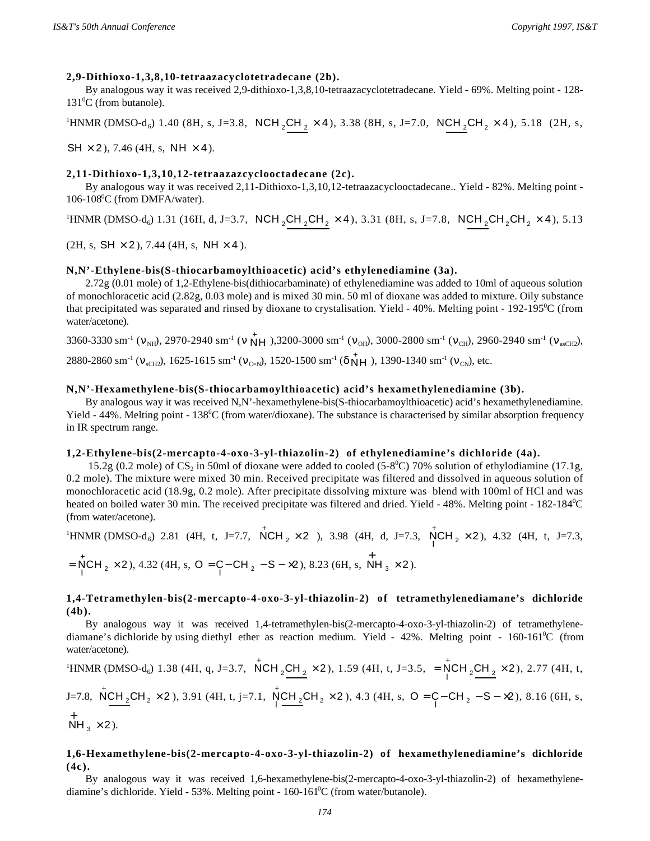### **2,9-Dithioxo-1,3,8,10-tetraazacyclotetradecane (2b).**

By analogous way it was received 2,9-dithioxo-1,3,8,10-tetraazacyclotetradecane. Yield - 69%. Melting point - 128-  $131^0C$  (from butanole).

 ${}^{1}\text{HNMR}$  (DMSO-d<sub>6</sub>) 1.40 (8H, s, J=3.8, NCH<sub>2</sub>CH<sub>2</sub> × 4), 3.38 (8H, s, J=7.0, NCH<sub>2</sub>CH<sub>2</sub> × 4), 5.18 (2H, s,

 $SH \times 2$ ), 7.46 (4H, s, NH  $\times$  4).

## **2,11-Dithioxo-1,3,10,12-tetraazazcyclooctadecane (2c).**

By analogous way it was received 2,11-Dithioxo-1,3,10,12-tetraazacyclooctadecane.. Yield - 82%. Melting point -  $106-108$ <sup>o</sup>C (from DMFA/water).

 ${}^{1}\text{HNMR}$  (DMSO-d<sub>6</sub>) 1.31 (16H, d, J=3.7, NCH <sub>2</sub>CH <sub>2</sub>CH<sub>2</sub> × 4), 3.31 (8H, s, J=7.8, NCH <sub>2</sub>CH<sub>2</sub>CH<sub>2</sub> × 4), 5.13

 $(2H, s, SH \times 2), 7.44 (4H, s, NH \times 4).$ 

## **N,N'-Ethylene-bis(S-thiocarbamoylthioacetic) acid's ethylenediamine (3a).**

2.72g (0.01 mole) of 1,2-Ethylene-bis(dithiocarbaminate) of ethylenediamine was added to 10ml of aqueous solution of monochloracetic acid (2.82g, 0.03 mole) and is mixed 30 min. 50 ml of dioxane was added to mixture. Oily substance that precipitated was separated and rinsed by dioxane to crystalisation. Yield -  $40\%$ . Melting point -  $192-195\textdegree C$  (from water/acetone).

3360-3330 sm<sup>-1</sup> ( $v_{NH}$ ), 2970-2940 sm<sup>-1</sup> ( $v \overleftrightarrow{NH}$ ), 3200-3000 sm<sup>-1</sup> ( $v_{OH}$ ), 3000-2800 sm<sup>-1</sup> ( $v_{CH}$ ), 2960-2940 sm<sup>-1</sup> ( $v_{asCH2}$ ), 2880-2860 sm<sup>-1</sup> ( $v_{\text{sCH2}}$ ), 1625-1615 sm<sup>-1</sup> ( $v_{\text{C=N}}$ ), 1520-1500 sm<sup>-1</sup> ( $\delta$  NH), 1390-1340 sm<sup>-1</sup> ( $v_{\text{CN}}$ ), etc.

### **N,N'-Hexamethylene-bis(S-thiocarbamoylthioacetic) acid's hexamethylenediamine (3b).**

By analogous way it was received N,N'-hexamethylene-bis(S-thiocarbamoylthioacetic) acid's hexamethylenediamine. Yield - 44%. Melting point - 138<sup>0</sup>C (from water/dioxane). The substance is characterised by similar absorption frequency in IR spectrum range.

### **1,2-Ethylene-bis(2-mercapto-4-oxo-3-yl-thiazolin-2) of ethylenediamine's dichloride (4a).**

15.2g (0.2 mole) of  $CS_2$  in 50ml of dioxane were added to cooled (5-8<sup>0</sup>C) 70% solution of ethylodiamine (17.1g, 0.2 mole). The mixture were mixed 30 min. Received precipitate was filtered and dissolved in aqueous solution of monochloracetic acid (18.9g, 0.2 mole). After precipitate dissolving mixture was blend with 100ml of HCl and was heated on boiled water 30 min. The received precipitate was filtered and dried. Yield - 48%. Melting point - 182-184<sup>0</sup>C (from water/acetone).

<sup>1</sup>HNMR (DMSO-d<sub>6</sub>) 2.81 (4H, t, J=7.7, 
$$
\angle WCH_2 \times 2
$$
), 3.98 (4H, d, J=7.3,  $\angle WCH_2 \times 2$ ), 4.32 (4H, t, J=7.3,  
=  $\angle WCH_2 \times 2$ ), 4.32 (4H, s, O =  $\angle$ –CH<sub>2</sub> – S – x2), 8.23 (6H, s, NH<sub>3</sub> x 2).

## **1,4-Tetramethylen-bis(2-mercapto-4-oxo-3-yl-thiazolin-2) of tetramethylenediamane's dichloride (4b).**

By analogous way it was received 1,4-tetramethylen-bis(2-mercapto-4-oxo-3-yl-thiazolin-2) of tetramethylenediamane's dichloride by using diethyl ether as reaction medium. Yield -  $42\%$ . Melting point -  $160{\text -}161^{\circ}\text{C}$  (from water/acetone).

<sup>1</sup>HNMR (DMSO-d<sub>6</sub>) 1.38 (4H, q, J=3.7, 
$$
\stackrel{\dagger}{N}CH_2CH_2 \times 2
$$
), 1.59 (4H, t, J=3.5, =  $\stackrel{\dagger}{N}CH_2CH_2 \times 2$ ), 2.77 (4H, t,

J=7.8, 
$$
\stackrel{\dagger}{NCH_2}CH_2 \times 2
$$
), 3.91 (4H, t, j=7.1,  $\stackrel{\dagger}{NCH_2}CH_2 \times 2$ ), 4.3 (4H, s, O = C - CH<sub>2</sub> - S -  $\times$ 2), 8.16 (6H, s, NH<sub>3</sub> × 2).

## **1,6-Hexamethylene-bis(2-mercapto-4-oxo-3-yl-thiazolin-2) of hexamethylenediamine's dichloride (4c).**

By analogous way it was received 1,6-hexamethylene-bis(2-mercapto-4-oxo-3-yl-thiazolin-2) of hexamethylenediamine's dichloride. Yield - 53%. Melting point - 160-161<sup>o</sup>C (from water/butanole).